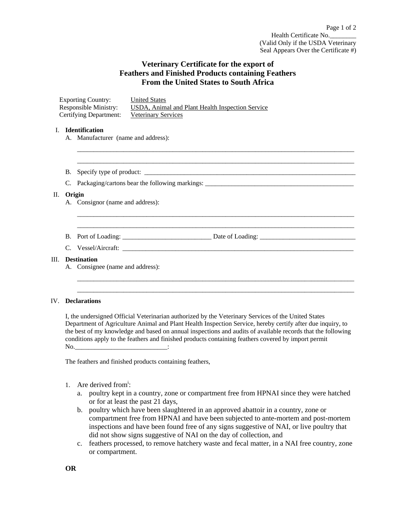# **Veterinary Certificate for the export of Feathers and Finished Products containing Feathers From the United States to South Africa**

\_\_\_\_\_\_\_\_\_\_\_\_\_\_\_\_\_\_\_\_\_\_\_\_\_\_\_\_\_\_\_\_\_\_\_\_\_\_\_\_\_\_\_\_\_\_\_\_\_\_\_\_\_\_\_\_\_\_\_\_\_\_\_\_\_\_\_\_\_\_\_\_\_\_\_\_\_\_\_\_\_\_\_\_  $\mathcal{L} = \{ \mathcal{L}_1, \mathcal{L}_2, \ldots, \mathcal{L}_n, \mathcal{L}_n, \mathcal{L}_n, \mathcal{L}_n, \mathcal{L}_n, \mathcal{L}_n, \mathcal{L}_n, \mathcal{L}_n, \mathcal{L}_n, \mathcal{L}_n, \mathcal{L}_n, \mathcal{L}_n, \mathcal{L}_n, \mathcal{L}_n, \mathcal{L}_n, \mathcal{L}_n, \mathcal{L}_n, \mathcal{L}_n, \mathcal{L}_n, \mathcal{L}_n, \mathcal{L}_n, \mathcal{L}_n, \mathcal{L}_n, \mathcal{L}_n$ 

\_\_\_\_\_\_\_\_\_\_\_\_\_\_\_\_\_\_\_\_\_\_\_\_\_\_\_\_\_\_\_\_\_\_\_\_\_\_\_\_\_\_\_\_\_\_\_\_\_\_\_\_\_\_\_\_\_\_\_\_\_\_\_\_\_\_\_\_\_\_\_\_\_\_\_\_\_\_\_\_\_\_\_\_ \_\_\_\_\_\_\_\_\_\_\_\_\_\_\_\_\_\_\_\_\_\_\_\_\_\_\_\_\_\_\_\_\_\_\_\_\_\_\_\_\_\_\_\_\_\_\_\_\_\_\_\_\_\_\_\_\_\_\_\_\_\_\_\_\_\_\_\_\_\_\_\_\_\_\_\_\_\_\_\_\_\_\_\_

\_\_\_\_\_\_\_\_\_\_\_\_\_\_\_\_\_\_\_\_\_\_\_\_\_\_\_\_\_\_\_\_\_\_\_\_\_\_\_\_\_\_\_\_\_\_\_\_\_\_\_\_\_\_\_\_\_\_\_\_\_\_\_\_\_\_\_\_\_\_\_\_\_\_\_\_\_\_\_\_\_\_\_\_ \_\_\_\_\_\_\_\_\_\_\_\_\_\_\_\_\_\_\_\_\_\_\_\_\_\_\_\_\_\_\_\_\_\_\_\_\_\_\_\_\_\_\_\_\_\_\_\_\_\_\_\_\_\_\_\_\_\_\_\_\_\_\_\_\_\_\_\_\_\_\_\_\_\_\_\_\_\_\_\_\_\_\_\_

| <b>Exporting Country:</b> | <b>United States</b>                             |
|---------------------------|--------------------------------------------------|
| Responsible Ministry:     | USDA, Animal and Plant Health Inspection Service |
| Certifying Department:    | <b>Veterinary Services</b>                       |

### I. **Identification**

- A. Manufacturer (name and address):
- B. Specify type of product: \_\_\_\_\_\_\_\_\_\_\_\_\_\_\_\_\_\_\_\_\_\_\_\_\_\_\_\_\_\_\_\_\_\_\_\_\_\_\_\_\_\_\_\_\_\_\_\_\_\_\_\_\_\_\_\_\_\_\_\_\_\_\_\_

C. Packaging/cartons bear the following markings:

#### II. **Origin**

- A. Consignor (name and address):
- B. Port of Loading: \_\_\_\_\_\_\_\_\_\_\_\_\_\_\_\_\_\_\_\_\_\_\_\_\_\_\_ Date of Loading: \_\_\_\_\_\_\_\_\_\_\_\_\_\_\_\_\_\_\_\_\_\_\_\_\_\_\_\_\_
- C. Vessel/Aircraft: \_\_\_\_\_\_\_\_\_\_\_\_\_\_\_\_\_\_\_\_\_\_\_\_\_\_\_\_\_\_\_\_\_\_\_\_\_\_\_\_\_\_\_\_\_\_\_\_\_\_\_\_\_\_\_\_\_\_\_\_\_\_\_\_\_\_\_\_\_\_

#### III. **Destination**

A. Consignee (name and address):

#### IV. **Declarations**

I, the undersigned Official Veterinarian authorized by the Veterinary Services of the United States Department of Agriculture Animal and Plant Health Inspection Service, hereby certify after due inquiry, to the best of my knowledge and based on annual inspections and audits of available records that the following conditions apply to the feathers and finished products containing feathers covered by import permit  $\mathbf{No.}$   $\qquad \qquad$  :

The feathers and finished products containing feathers,

- 1. Are derived from<sup>i</sup>:
	- a. poultry kept in a country, zone or compartment free from HPNAI since they were hatched or for at least the past 21 days,
	- b. poultry which have been slaughtered in an approved abattoir in a country, zone or compartment free from HPNAI and have been subjected to ante-mortem and post-mortem inspections and have been found free of any signs suggestive of NAI, or live poultry that did not show signs suggestive of NAI on the day of collection, and
	- c. feathers processed, to remove hatchery waste and fecal matter, in a NAI free country, zone or compartment.